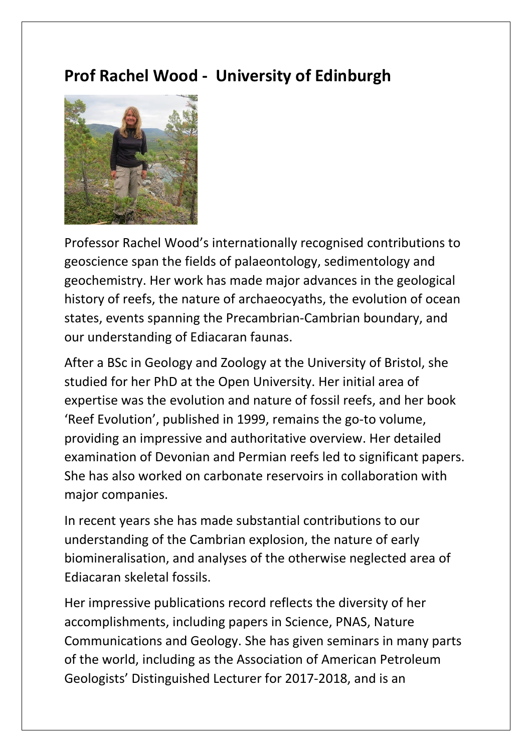## **Prof Rachel Wood - University of Edinburgh**



Professor Rachel Wood's internationally recognised contributions to geoscience span the fields of palaeontology, sedimentology and geochemistry. Her work has made major advances in the geological history of reefs, the nature of archaeocyaths, the evolution of ocean states, events spanning the Precambrian-Cambrian boundary, and our understanding of Ediacaran faunas.

After a BSc in Geology and Zoology at the University of Bristol, she studied for her PhD at the Open University. Her initial area of expertise was the evolution and nature of fossil reefs, and her book 'Reef Evolution', published in 1999, remains the go-to volume, providing an impressive and authoritative overview. Her detailed examination of Devonian and Permian reefs led to significant papers. She has also worked on carbonate reservoirs in collaboration with major companies.

In recent years she has made substantial contributions to our understanding of the Cambrian explosion, the nature of early biomineralisation, and analyses of the otherwise neglected area of Ediacaran skeletal fossils.

Her impressive publications record reflects the diversity of her accomplishments, including papers in Science, PNAS, Nature Communications and Geology. She has given seminars in many parts of the world, including as the Association of American Petroleum Geologists' Distinguished Lecturer for 2017-2018, and is an